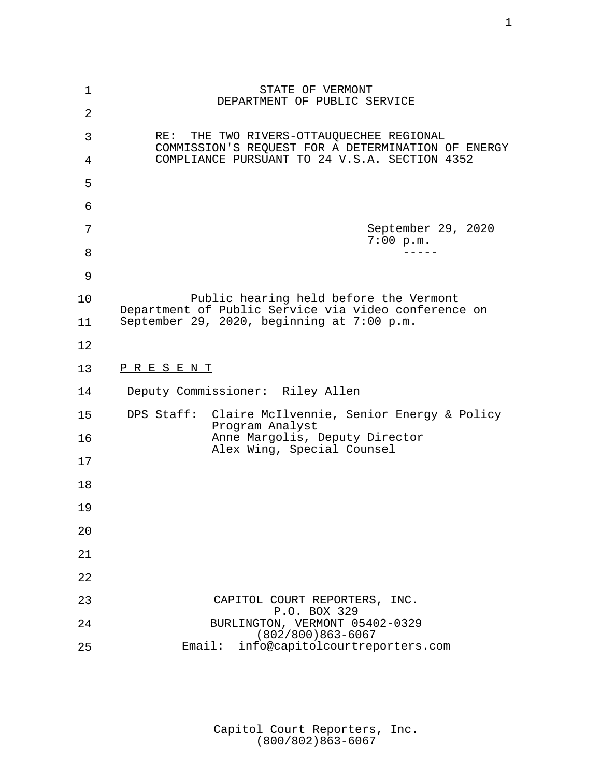| 1  | STATE OF VERMONT<br>DEPARTMENT OF PUBLIC SERVICE                                                  |
|----|---------------------------------------------------------------------------------------------------|
| 2  |                                                                                                   |
| 3  | THE TWO RIVERS-OTTAUQUECHEE REGIONAL<br>RE:<br>COMMISSION'S REQUEST FOR A DETERMINATION OF ENERGY |
| 4  | COMPLIANCE PURSUANT TO 24 V.S.A. SECTION 4352                                                     |
| 5  |                                                                                                   |
| 6  |                                                                                                   |
| 7  | September 29, 2020<br>7:00 p.m.                                                                   |
| 8  |                                                                                                   |
| 9  |                                                                                                   |
| 10 | Public hearing held before the Vermont<br>Department of Public Service via video conference on    |
| 11 | September 29, 2020, beginning at 7:00 p.m.                                                        |
| 12 |                                                                                                   |
| 13 | <u>PRESENT</u>                                                                                    |
|    |                                                                                                   |
| 14 | Deputy Commissioner: Riley Allen                                                                  |
| 15 | DPS Staff: Claire McIlvennie, Senior Energy & Policy                                              |
| 16 | Program Analyst<br>Anne Margolis, Deputy Director                                                 |
| 17 | Alex Wing, Special Counsel                                                                        |
| 18 |                                                                                                   |
| 19 |                                                                                                   |
| 20 |                                                                                                   |
| 21 |                                                                                                   |
| 22 |                                                                                                   |
| 23 | CAPITOL COURT REPORTERS, INC.                                                                     |
| 24 | P.O. BOX 329<br>BURLINGTON, VERMONT 05402-0329<br>$(802/800)863-6067$                             |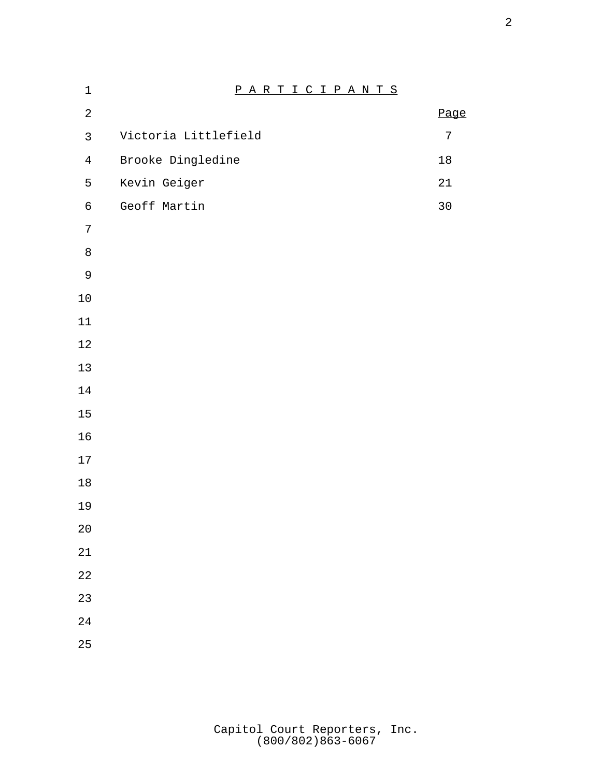| $\mathbf 1$    | PARTICIPANTS         |            |
|----------------|----------------------|------------|
| $\sqrt{2}$     |                      | Page       |
| $\mathfrak{Z}$ | Victoria Littlefield | $\sqrt{ }$ |
| $\overline{4}$ | Brooke Dingledine    | $18\,$     |
| 5              | Kevin Geiger         | 21         |
| $\epsilon$     | Geoff Martin         | $30$       |
| $\sqrt{ }$     |                      |            |
| $\,8\,$        |                      |            |
| $\mathsf 9$    |                      |            |
| $10\,$         |                      |            |
| $11\,$         |                      |            |
| $1\,2$         |                      |            |
| $13\,$         |                      |            |
| $14\,$         |                      |            |
| $15$           |                      |            |
| 16             |                      |            |
| $17\,$         |                      |            |
| $18$           |                      |            |
| 19             |                      |            |
| $2\,0$         |                      |            |
| $2\sqrt{1}$    |                      |            |
| 22             |                      |            |
| 23             |                      |            |
| 24             |                      |            |
| 25             |                      |            |
|                |                      |            |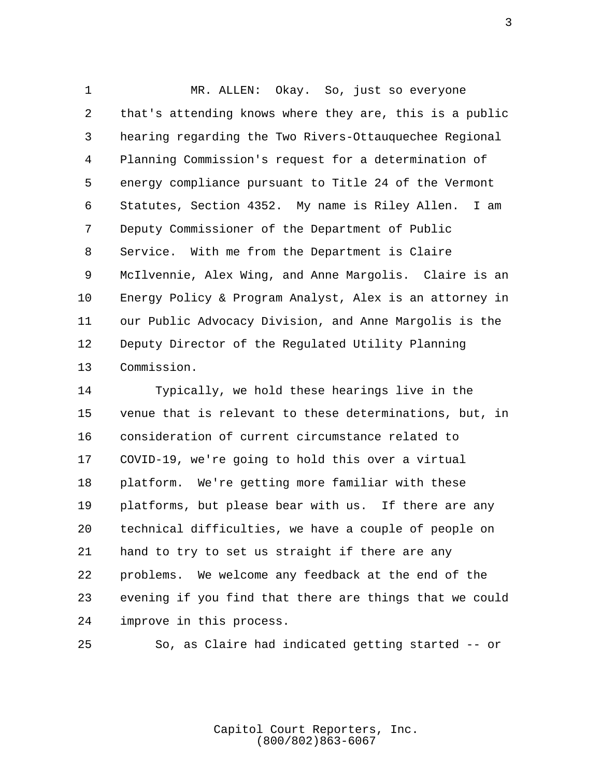1 MR. ALLEN: Okay. So, just so everyone 2 that's attending knows where they are, this is a public 3 hearing regarding the Two Rivers-Ottauquechee Regional 4 Planning Commission's request for a determination of 5 energy compliance pursuant to Title 24 of the Vermont 6 Statutes, Section 4352. My name is Riley Allen. I am 7 Deputy Commissioner of the Department of Public 8 Service. With me from the Department is Claire 9 McIlvennie, Alex Wing, and Anne Margolis. Claire is an 10 Energy Policy & Program Analyst, Alex is an attorney in 11 our Public Advocacy Division, and Anne Margolis is the 12 Deputy Director of the Regulated Utility Planning 13 Commission.

14 Typically, we hold these hearings live in the 15 venue that is relevant to these determinations, but, in 16 consideration of current circumstance related to 17 COVID-19, we're going to hold this over a virtual 18 platform. We're getting more familiar with these 19 platforms, but please bear with us. If there are any 20 technical difficulties, we have a couple of people on 21 hand to try to set us straight if there are any 22 problems. We welcome any feedback at the end of the 23 evening if you find that there are things that we could 24 improve in this process.

25 So, as Claire had indicated getting started -- or

Capitol Court Reporters, Inc. (800/802)863-6067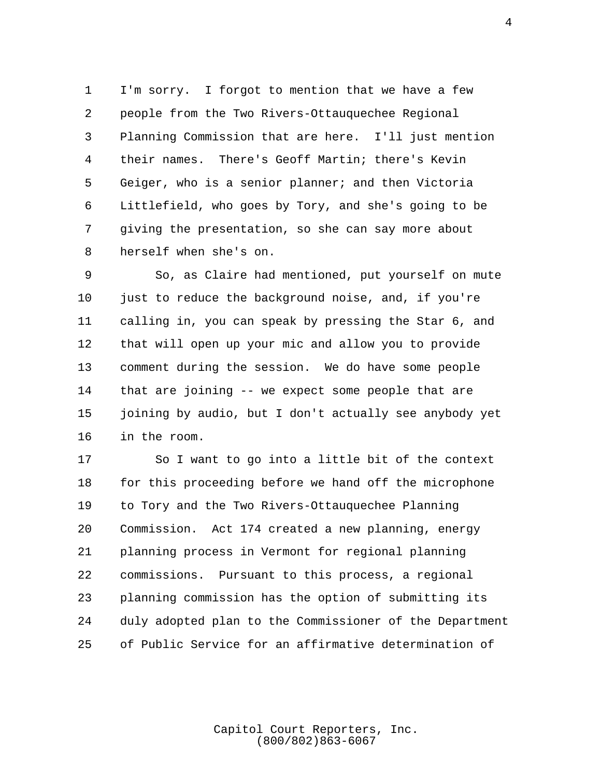1 I'm sorry. I forgot to mention that we have a few 2 people from the Two Rivers-Ottauquechee Regional 3 Planning Commission that are here. I'll just mention 4 their names. There's Geoff Martin; there's Kevin 5 Geiger, who is a senior planner; and then Victoria 6 Littlefield, who goes by Tory, and she's going to be 7 giving the presentation, so she can say more about 8 herself when she's on.

 9 So, as Claire had mentioned, put yourself on mute 10 just to reduce the background noise, and, if you're 11 calling in, you can speak by pressing the Star 6, and 12 that will open up your mic and allow you to provide 13 comment during the session. We do have some people 14 that are joining -- we expect some people that are 15 joining by audio, but I don't actually see anybody yet 16 in the room.

17 So I want to go into a little bit of the context 18 for this proceeding before we hand off the microphone 19 to Tory and the Two Rivers-Ottauquechee Planning 20 Commission. Act 174 created a new planning, energy 21 planning process in Vermont for regional planning 22 commissions. Pursuant to this process, a regional 23 planning commission has the option of submitting its 24 duly adopted plan to the Commissioner of the Department 25 of Public Service for an affirmative determination of

> Capitol Court Reporters, Inc. (800/802)863-6067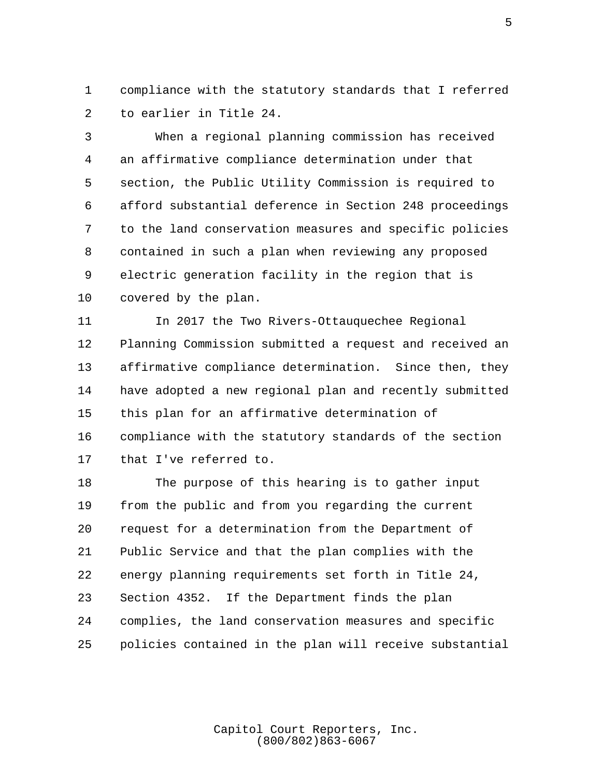1 compliance with the statutory standards that I referred 2 to earlier in Title 24.

 3 When a regional planning commission has received 4 an affirmative compliance determination under that 5 section, the Public Utility Commission is required to 6 afford substantial deference in Section 248 proceedings 7 to the land conservation measures and specific policies 8 contained in such a plan when reviewing any proposed 9 electric generation facility in the region that is 10 covered by the plan.

11 In 2017 the Two Rivers-Ottauquechee Regional 12 Planning Commission submitted a request and received an 13 affirmative compliance determination. Since then, they 14 have adopted a new regional plan and recently submitted 15 this plan for an affirmative determination of 16 compliance with the statutory standards of the section 17 that I've referred to.

18 The purpose of this hearing is to gather input 19 from the public and from you regarding the current 20 request for a determination from the Department of 21 Public Service and that the plan complies with the 22 energy planning requirements set forth in Title 24, 23 Section 4352. If the Department finds the plan 24 complies, the land conservation measures and specific 25 policies contained in the plan will receive substantial

> Capitol Court Reporters, Inc. (800/802)863-6067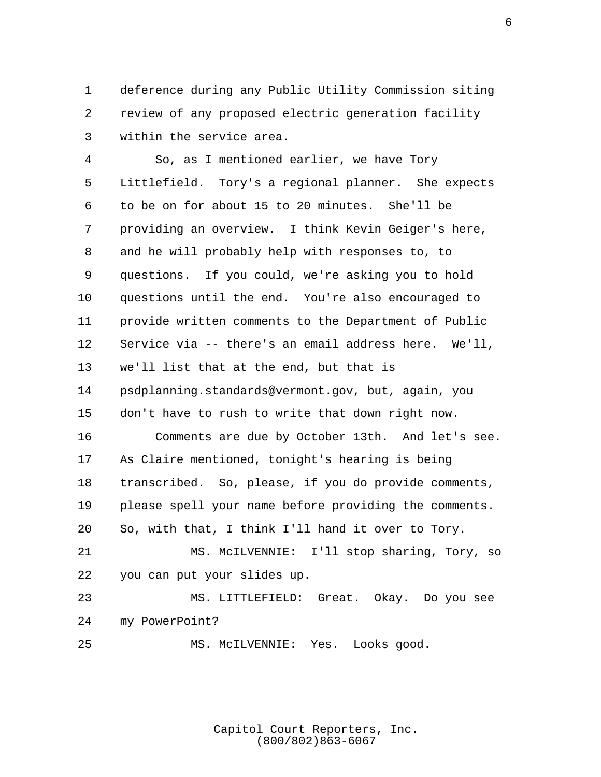1 deference during any Public Utility Commission siting 2 review of any proposed electric generation facility 3 within the service area.

 4 So, as I mentioned earlier, we have Tory 5 Littlefield. Tory's a regional planner. She expects 6 to be on for about 15 to 20 minutes. She'll be 7 providing an overview. I think Kevin Geiger's here, 8 and he will probably help with responses to, to 9 questions. If you could, we're asking you to hold 10 questions until the end. You're also encouraged to 11 provide written comments to the Department of Public 12 Service via -- there's an email address here. We'll, 13 we'll list that at the end, but that is 14 psdplanning.standards@vermont.gov, but, again, you 15 don't have to rush to write that down right now. 16 Comments are due by October 13th. And let's see. 17 As Claire mentioned, tonight's hearing is being 18 transcribed. So, please, if you do provide comments, 19 please spell your name before providing the comments. 20 So, with that, I think I'll hand it over to Tory. 21 MS. McILVENNIE: I'll stop sharing, Tory, so 22 you can put your slides up. 23 MS. LITTLEFIELD: Great. Okay. Do you see 24 my PowerPoint? 25 MS. McILVENNIE: Yes. Looks good.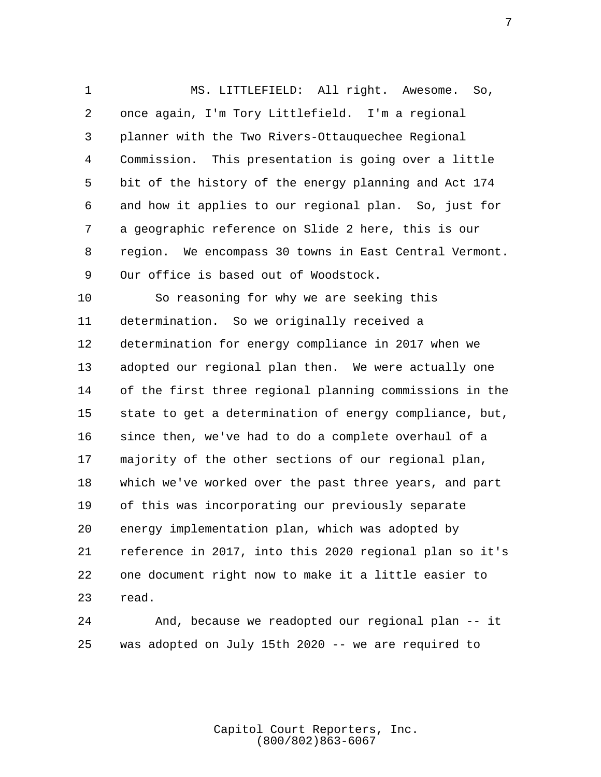1 MS. LITTLEFIELD: All right. Awesome. So, 2 once again, I'm Tory Littlefield. I'm a regional 3 planner with the Two Rivers-Ottauquechee Regional 4 Commission. This presentation is going over a little 5 bit of the history of the energy planning and Act 174 6 and how it applies to our regional plan. So, just for 7 a geographic reference on Slide 2 here, this is our 8 region. We encompass 30 towns in East Central Vermont. 9 Our office is based out of Woodstock.

10 So reasoning for why we are seeking this 11 determination. So we originally received a 12 determination for energy compliance in 2017 when we 13 adopted our regional plan then. We were actually one 14 of the first three regional planning commissions in the 15 state to get a determination of energy compliance, but, 16 since then, we've had to do a complete overhaul of a 17 majority of the other sections of our regional plan, 18 which we've worked over the past three years, and part 19 of this was incorporating our previously separate 20 energy implementation plan, which was adopted by 21 reference in 2017, into this 2020 regional plan so it's 22 one document right now to make it a little easier to 23 read.

24 And, because we readopted our regional plan -- it 25 was adopted on July 15th 2020 -- we are required to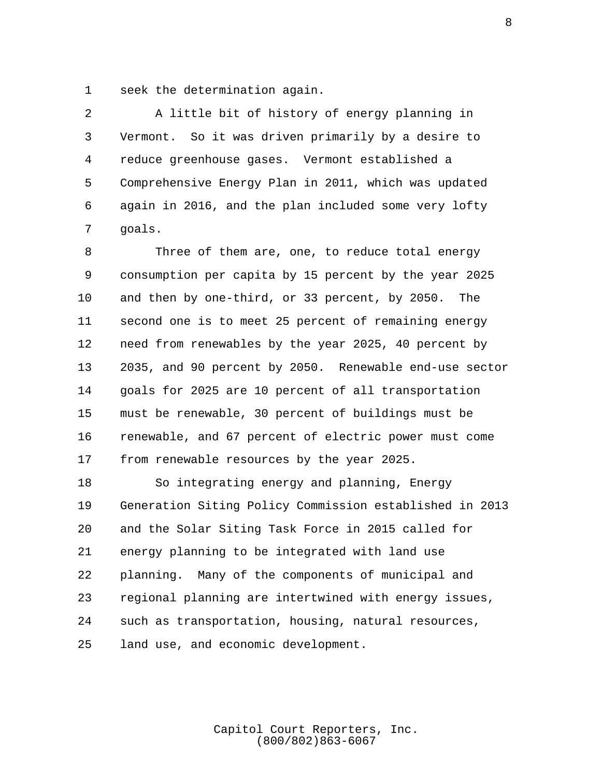1 seek the determination again.

 2 A little bit of history of energy planning in 3 Vermont. So it was driven primarily by a desire to 4 reduce greenhouse gases. Vermont established a 5 Comprehensive Energy Plan in 2011, which was updated 6 again in 2016, and the plan included some very lofty 7 goals.

 8 Three of them are, one, to reduce total energy 9 consumption per capita by 15 percent by the year 2025 10 and then by one-third, or 33 percent, by 2050. The 11 second one is to meet 25 percent of remaining energy 12 need from renewables by the year 2025, 40 percent by 13 2035, and 90 percent by 2050. Renewable end-use sector 14 goals for 2025 are 10 percent of all transportation 15 must be renewable, 30 percent of buildings must be 16 renewable, and 67 percent of electric power must come 17 from renewable resources by the year 2025.

18 So integrating energy and planning, Energy 19 Generation Siting Policy Commission established in 2013 20 and the Solar Siting Task Force in 2015 called for 21 energy planning to be integrated with land use 22 planning. Many of the components of municipal and 23 regional planning are intertwined with energy issues, 24 such as transportation, housing, natural resources, 25 land use, and economic development.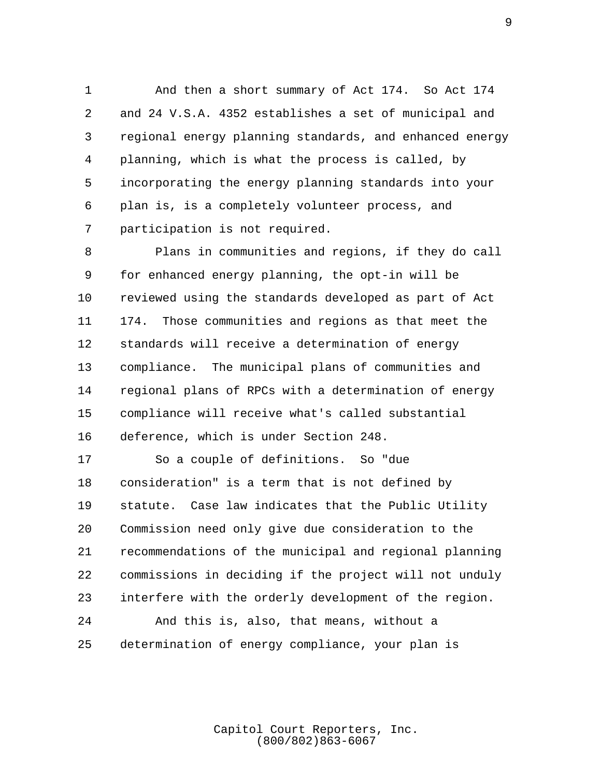1 And then a short summary of Act 174. So Act 174 2 and 24 V.S.A. 4352 establishes a set of municipal and 3 regional energy planning standards, and enhanced energy 4 planning, which is what the process is called, by 5 incorporating the energy planning standards into your 6 plan is, is a completely volunteer process, and 7 participation is not required.

 8 Plans in communities and regions, if they do call 9 for enhanced energy planning, the opt-in will be 10 reviewed using the standards developed as part of Act 11 174. Those communities and regions as that meet the 12 standards will receive a determination of energy 13 compliance. The municipal plans of communities and 14 regional plans of RPCs with a determination of energy 15 compliance will receive what's called substantial 16 deference, which is under Section 248.

17 So a couple of definitions. So "due 18 consideration" is a term that is not defined by 19 statute. Case law indicates that the Public Utility 20 Commission need only give due consideration to the 21 recommendations of the municipal and regional planning 22 commissions in deciding if the project will not unduly 23 interfere with the orderly development of the region. 24 And this is, also, that means, without a 25 determination of energy compliance, your plan is

> Capitol Court Reporters, Inc. (800/802)863-6067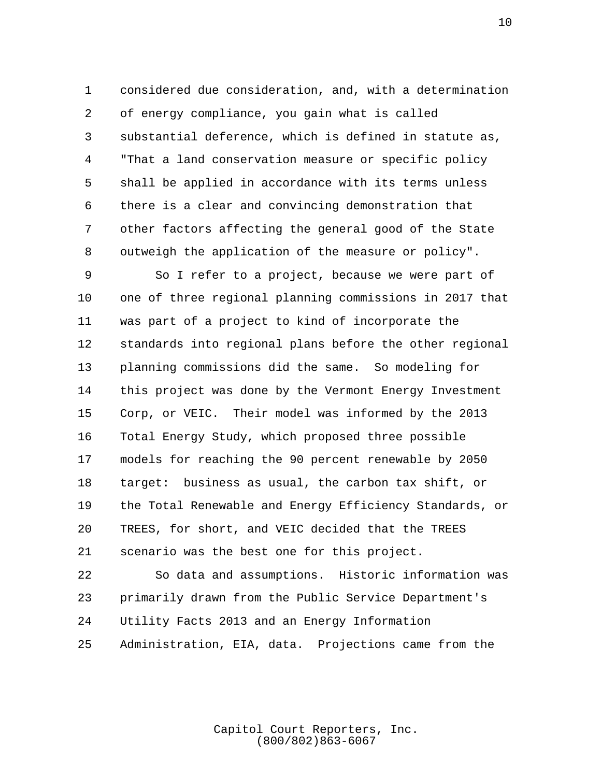1 considered due consideration, and, with a determination 2 of energy compliance, you gain what is called 3 substantial deference, which is defined in statute as, 4 "That a land conservation measure or specific policy 5 shall be applied in accordance with its terms unless 6 there is a clear and convincing demonstration that 7 other factors affecting the general good of the State 8 outweigh the application of the measure or policy".

 9 So I refer to a project, because we were part of 10 one of three regional planning commissions in 2017 that 11 was part of a project to kind of incorporate the 12 standards into regional plans before the other regional 13 planning commissions did the same. So modeling for 14 this project was done by the Vermont Energy Investment 15 Corp, or VEIC. Their model was informed by the 2013 16 Total Energy Study, which proposed three possible 17 models for reaching the 90 percent renewable by 2050 18 target: business as usual, the carbon tax shift, or 19 the Total Renewable and Energy Efficiency Standards, or 20 TREES, for short, and VEIC decided that the TREES 21 scenario was the best one for this project.

22 So data and assumptions. Historic information was 23 primarily drawn from the Public Service Department's 24 Utility Facts 2013 and an Energy Information 25 Administration, EIA, data. Projections came from the

> Capitol Court Reporters, Inc. (800/802)863-6067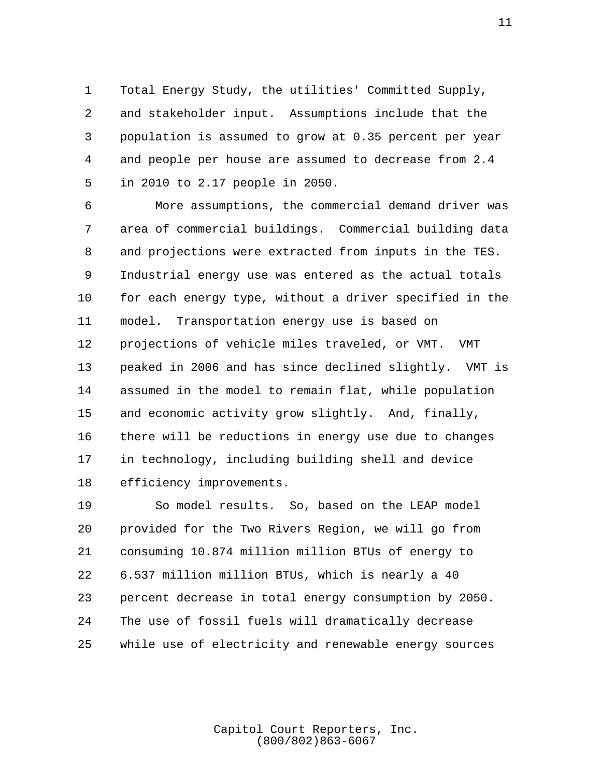1 Total Energy Study, the utilities' Committed Supply, 2 and stakeholder input. Assumptions include that the 3 population is assumed to grow at 0.35 percent per year 4 and people per house are assumed to decrease from 2.4 5 in 2010 to 2.17 people in 2050.

 6 More assumptions, the commercial demand driver was 7 area of commercial buildings. Commercial building data 8 and projections were extracted from inputs in the TES. 9 Industrial energy use was entered as the actual totals 10 for each energy type, without a driver specified in the 11 model. Transportation energy use is based on 12 projections of vehicle miles traveled, or VMT. VMT 13 peaked in 2006 and has since declined slightly. VMT is 14 assumed in the model to remain flat, while population 15 and economic activity grow slightly. And, finally, 16 there will be reductions in energy use due to changes 17 in technology, including building shell and device 18 efficiency improvements.

19 So model results. So, based on the LEAP model 20 provided for the Two Rivers Region, we will go from 21 consuming 10.874 million million BTUs of energy to 22 6.537 million million BTUs, which is nearly a 40 23 percent decrease in total energy consumption by 2050. 24 The use of fossil fuels will dramatically decrease 25 while use of electricity and renewable energy sources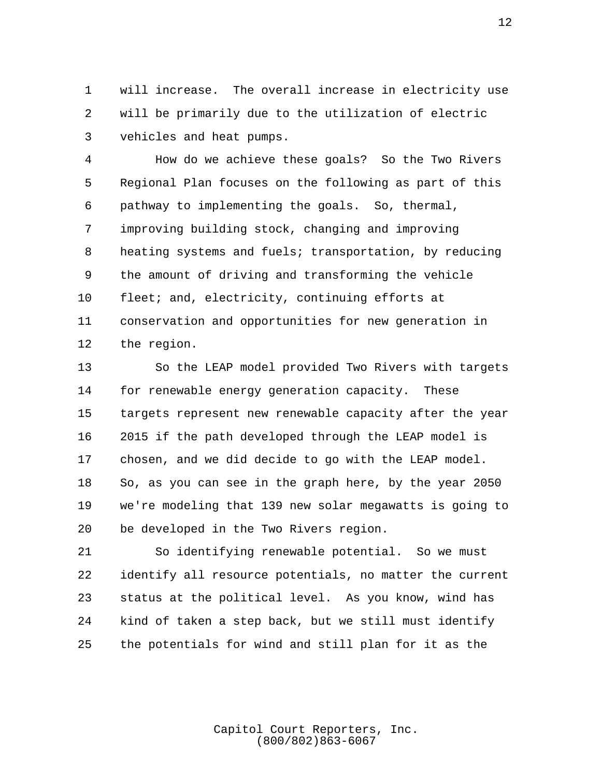1 will increase. The overall increase in electricity use 2 will be primarily due to the utilization of electric 3 vehicles and heat pumps.

 4 How do we achieve these goals? So the Two Rivers 5 Regional Plan focuses on the following as part of this 6 pathway to implementing the goals. So, thermal, 7 improving building stock, changing and improving 8 heating systems and fuels; transportation, by reducing 9 the amount of driving and transforming the vehicle 10 fleet; and, electricity, continuing efforts at 11 conservation and opportunities for new generation in 12 the region.

13 So the LEAP model provided Two Rivers with targets 14 for renewable energy generation capacity. These 15 targets represent new renewable capacity after the year 16 2015 if the path developed through the LEAP model is 17 chosen, and we did decide to go with the LEAP model. 18 So, as you can see in the graph here, by the year 2050 19 we're modeling that 139 new solar megawatts is going to 20 be developed in the Two Rivers region.

21 So identifying renewable potential. So we must 22 identify all resource potentials, no matter the current 23 status at the political level. As you know, wind has 24 kind of taken a step back, but we still must identify 25 the potentials for wind and still plan for it as the

> Capitol Court Reporters, Inc. (800/802)863-6067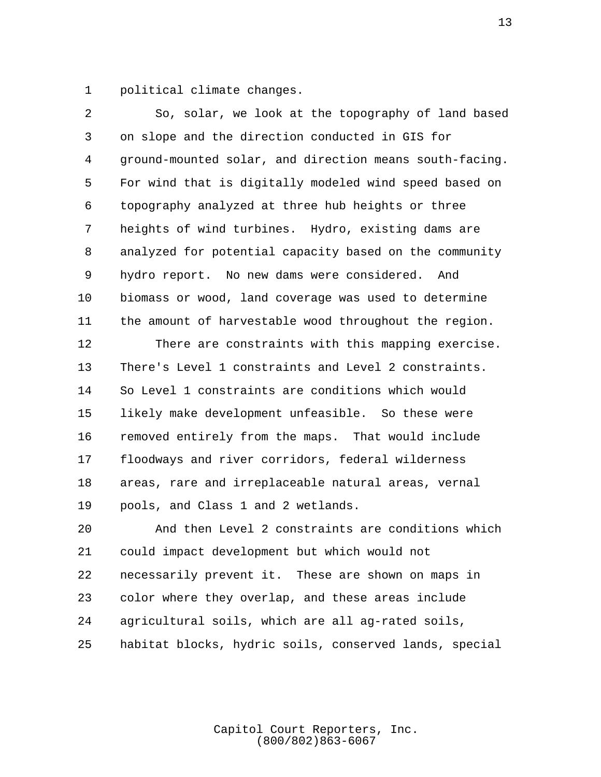1 political climate changes.

| 2  | So, solar, we look at the topography of land based      |
|----|---------------------------------------------------------|
| 3  | on slope and the direction conducted in GIS for         |
| 4  | ground-mounted solar, and direction means south-facing. |
| 5  | For wind that is digitally modeled wind speed based on  |
| 6  | topography analyzed at three hub heights or three       |
| 7  | heights of wind turbines. Hydro, existing dams are      |
| 8  | analyzed for potential capacity based on the community  |
| 9  | hydro report. No new dams were considered. And          |
| 10 | biomass or wood, land coverage was used to determine    |
| 11 | the amount of harvestable wood throughout the region.   |
| 12 | There are constraints with this mapping exercise.       |
| 13 | There's Level 1 constraints and Level 2 constraints.    |
| 14 | So Level 1 constraints are conditions which would       |
| 15 | likely make development unfeasible. So these were       |
| 16 | removed entirely from the maps. That would include      |
| 17 | floodways and river corridors, federal wilderness       |
| 18 | areas, rare and irreplaceable natural areas, vernal     |
| 19 | pools, and Class 1 and 2 wetlands.                      |
| 20 | And then Level 2 constraints are conditions which       |
| 21 | could impact development but which would not            |
| 22 | necessarily prevent it. These are shown on maps in      |
| 23 | color where they overlap, and these areas include       |
| 24 | agricultural soils, which are all ag-rated soils,       |
| 25 | habitat blocks, hydric soils, conserved lands, special  |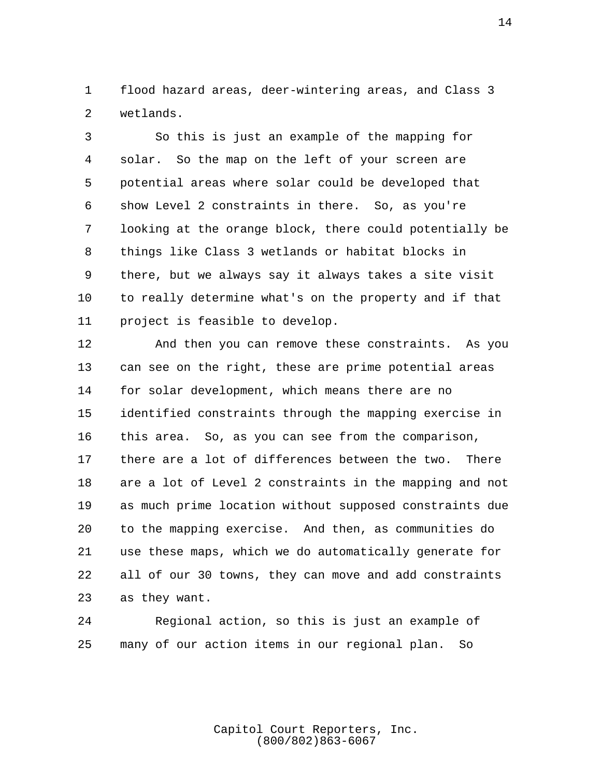1 flood hazard areas, deer-wintering areas, and Class 3 2 wetlands.

 3 So this is just an example of the mapping for 4 solar. So the map on the left of your screen are 5 potential areas where solar could be developed that 6 show Level 2 constraints in there. So, as you're 7 looking at the orange block, there could potentially be 8 things like Class 3 wetlands or habitat blocks in 9 there, but we always say it always takes a site visit 10 to really determine what's on the property and if that 11 project is feasible to develop.

12 And then you can remove these constraints. As you 13 can see on the right, these are prime potential areas 14 for solar development, which means there are no 15 identified constraints through the mapping exercise in 16 this area. So, as you can see from the comparison, 17 there are a lot of differences between the two. There 18 are a lot of Level 2 constraints in the mapping and not 19 as much prime location without supposed constraints due 20 to the mapping exercise. And then, as communities do 21 use these maps, which we do automatically generate for 22 all of our 30 towns, they can move and add constraints 23 as they want.

24 Regional action, so this is just an example of 25 many of our action items in our regional plan. So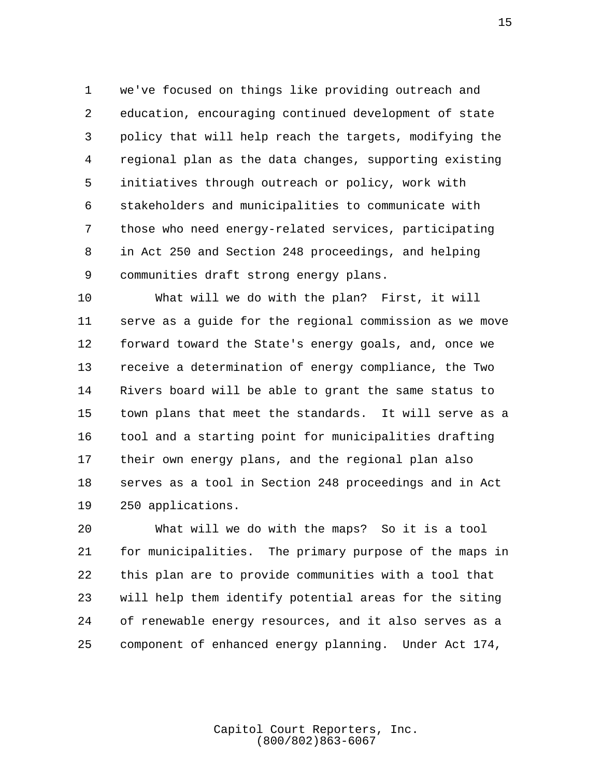1 we've focused on things like providing outreach and 2 education, encouraging continued development of state 3 policy that will help reach the targets, modifying the 4 regional plan as the data changes, supporting existing 5 initiatives through outreach or policy, work with 6 stakeholders and municipalities to communicate with 7 those who need energy-related services, participating 8 in Act 250 and Section 248 proceedings, and helping 9 communities draft strong energy plans.

10 What will we do with the plan? First, it will 11 serve as a guide for the regional commission as we move 12 forward toward the State's energy goals, and, once we 13 receive a determination of energy compliance, the Two 14 Rivers board will be able to grant the same status to 15 town plans that meet the standards. It will serve as a 16 tool and a starting point for municipalities drafting 17 their own energy plans, and the regional plan also 18 serves as a tool in Section 248 proceedings and in Act 19 250 applications.

20 What will we do with the maps? So it is a tool 21 for municipalities. The primary purpose of the maps in 22 this plan are to provide communities with a tool that 23 will help them identify potential areas for the siting 24 of renewable energy resources, and it also serves as a 25 component of enhanced energy planning. Under Act 174,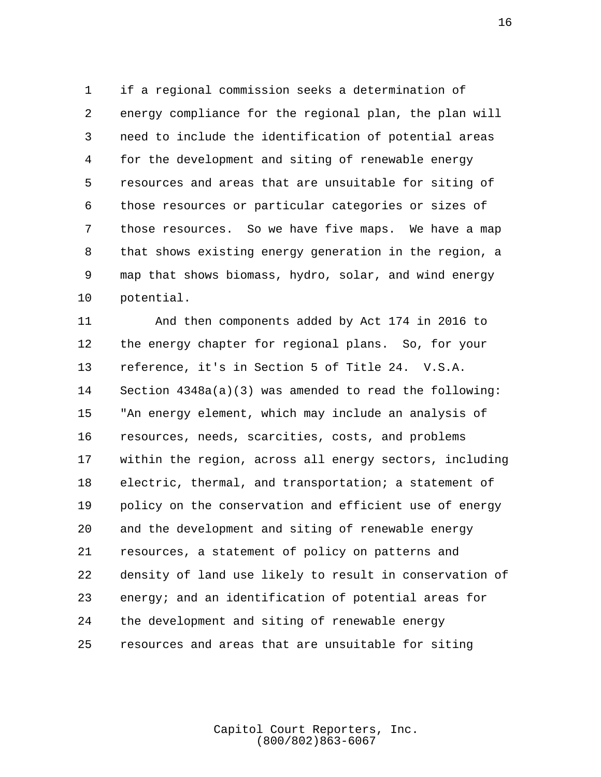1 if a regional commission seeks a determination of 2 energy compliance for the regional plan, the plan will 3 need to include the identification of potential areas 4 for the development and siting of renewable energy 5 resources and areas that are unsuitable for siting of 6 those resources or particular categories or sizes of 7 those resources. So we have five maps. We have a map 8 that shows existing energy generation in the region, a 9 map that shows biomass, hydro, solar, and wind energy 10 potential.

11 And then components added by Act 174 in 2016 to 12 the energy chapter for regional plans. So, for your 13 reference, it's in Section 5 of Title 24. V.S.A. 14 Section 4348a(a)(3) was amended to read the following: 15 "An energy element, which may include an analysis of 16 resources, needs, scarcities, costs, and problems 17 within the region, across all energy sectors, including 18 electric, thermal, and transportation; a statement of 19 policy on the conservation and efficient use of energy 20 and the development and siting of renewable energy 21 resources, a statement of policy on patterns and 22 density of land use likely to result in conservation of 23 energy; and an identification of potential areas for 24 the development and siting of renewable energy 25 resources and areas that are unsuitable for siting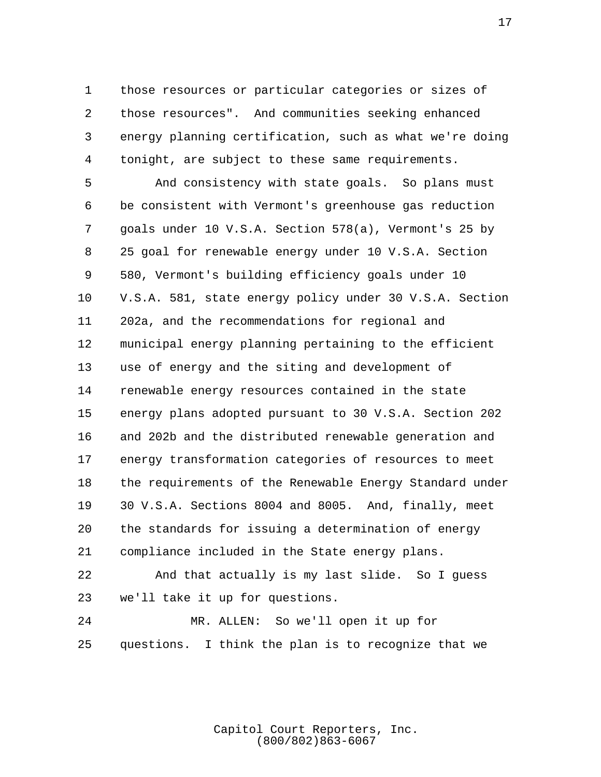1 those resources or particular categories or sizes of 2 those resources". And communities seeking enhanced 3 energy planning certification, such as what we're doing 4 tonight, are subject to these same requirements.

 5 And consistency with state goals. So plans must 6 be consistent with Vermont's greenhouse gas reduction 7 goals under 10 V.S.A. Section 578(a), Vermont's 25 by 8 25 goal for renewable energy under 10 V.S.A. Section 9 580, Vermont's building efficiency goals under 10 10 V.S.A. 581, state energy policy under 30 V.S.A. Section 11 202a, and the recommendations for regional and 12 municipal energy planning pertaining to the efficient 13 use of energy and the siting and development of 14 renewable energy resources contained in the state 15 energy plans adopted pursuant to 30 V.S.A. Section 202 16 and 202b and the distributed renewable generation and 17 energy transformation categories of resources to meet 18 the requirements of the Renewable Energy Standard under 19 30 V.S.A. Sections 8004 and 8005. And, finally, meet 20 the standards for issuing a determination of energy 21 compliance included in the State energy plans.

22 And that actually is my last slide. So I guess 23 we'll take it up for questions.

24 MR. ALLEN: So we'll open it up for 25 questions. I think the plan is to recognize that we

> Capitol Court Reporters, Inc. (800/802)863-6067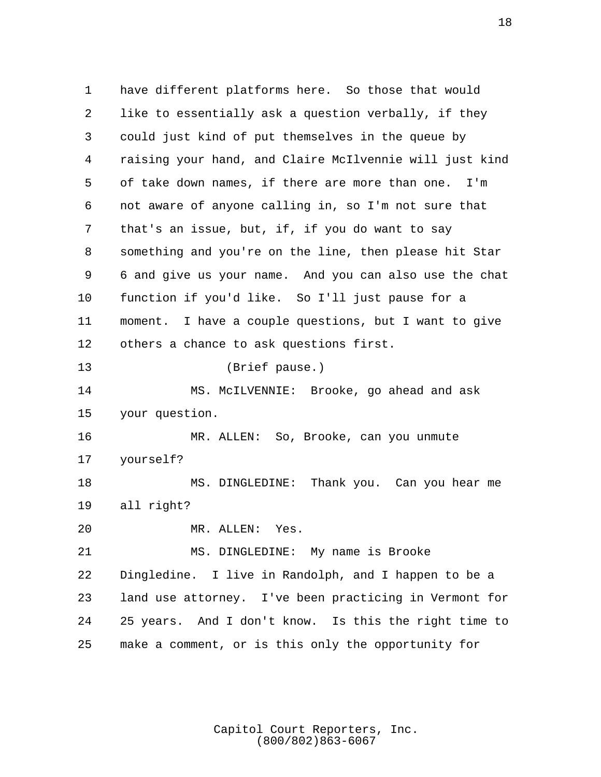1 have different platforms here. So those that would 2 like to essentially ask a question verbally, if they 3 could just kind of put themselves in the queue by 4 raising your hand, and Claire McIlvennie will just kind 5 of take down names, if there are more than one. I'm 6 not aware of anyone calling in, so I'm not sure that 7 that's an issue, but, if, if you do want to say 8 something and you're on the line, then please hit Star 9 6 and give us your name. And you can also use the chat 10 function if you'd like. So I'll just pause for a 11 moment. I have a couple questions, but I want to give 12 others a chance to ask questions first. 13 (Brief pause.) 14 MS. McILVENNIE: Brooke, go ahead and ask 15 your question. 16 MR. ALLEN: So, Brooke, can you unmute 17 yourself? 18 MS. DINGLEDINE: Thank you. Can you hear me 19 all right? 20 MR. ALLEN: Yes. 21 MS. DINGLEDINE: My name is Brooke 22 Dingledine. I live in Randolph, and I happen to be a 23 land use attorney. I've been practicing in Vermont for 24 25 years. And I don't know. Is this the right time to 25 make a comment, or is this only the opportunity for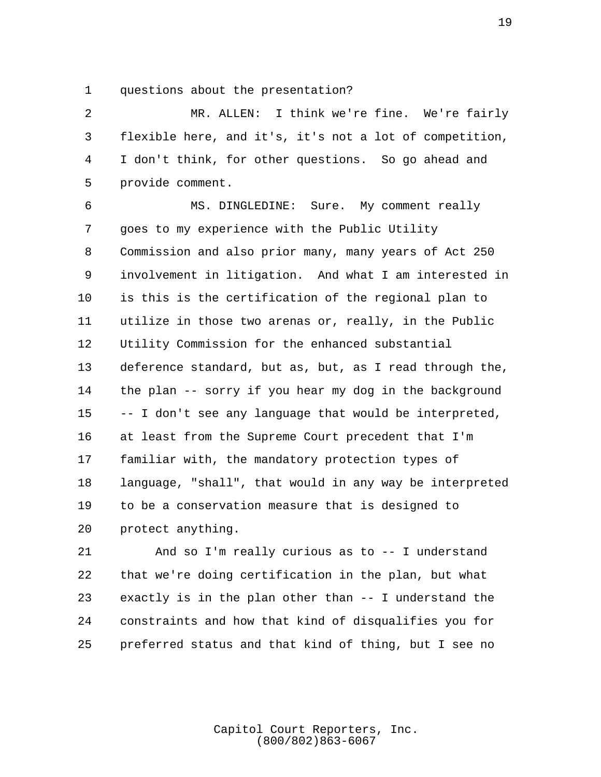1 questions about the presentation?

 2 MR. ALLEN: I think we're fine. We're fairly 3 flexible here, and it's, it's not a lot of competition, 4 I don't think, for other questions. So go ahead and 5 provide comment.

 6 MS. DINGLEDINE: Sure. My comment really 7 goes to my experience with the Public Utility 8 Commission and also prior many, many years of Act 250 9 involvement in litigation. And what I am interested in 10 is this is the certification of the regional plan to 11 utilize in those two arenas or, really, in the Public 12 Utility Commission for the enhanced substantial 13 deference standard, but as, but, as I read through the, 14 the plan -- sorry if you hear my dog in the background 15 -- I don't see any language that would be interpreted, 16 at least from the Supreme Court precedent that I'm 17 familiar with, the mandatory protection types of 18 language, "shall", that would in any way be interpreted 19 to be a conservation measure that is designed to 20 protect anything.

21 And so I'm really curious as to -- I understand 22 that we're doing certification in the plan, but what 23 exactly is in the plan other than -- I understand the 24 constraints and how that kind of disqualifies you for 25 preferred status and that kind of thing, but I see no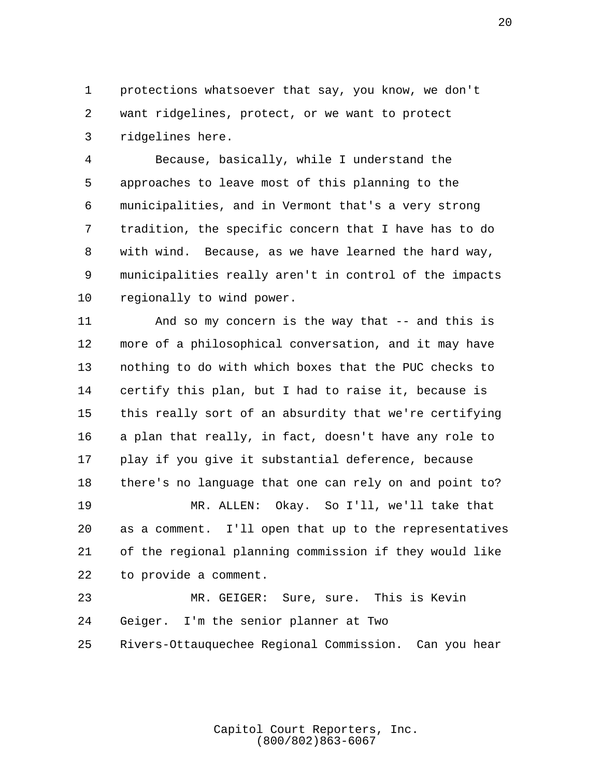1 protections whatsoever that say, you know, we don't 2 want ridgelines, protect, or we want to protect 3 ridgelines here.

 4 Because, basically, while I understand the 5 approaches to leave most of this planning to the 6 municipalities, and in Vermont that's a very strong 7 tradition, the specific concern that I have has to do 8 with wind. Because, as we have learned the hard way, 9 municipalities really aren't in control of the impacts 10 regionally to wind power.

11 And so my concern is the way that -- and this is 12 more of a philosophical conversation, and it may have 13 nothing to do with which boxes that the PUC checks to 14 certify this plan, but I had to raise it, because is 15 this really sort of an absurdity that we're certifying 16 a plan that really, in fact, doesn't have any role to 17 play if you give it substantial deference, because 18 there's no language that one can rely on and point to? 19 MR. ALLEN: Okay. So I'll, we'll take that

20 as a comment. I'll open that up to the representatives 21 of the regional planning commission if they would like 22 to provide a comment.

23 MR. GEIGER: Sure, sure. This is Kevin 24 Geiger. I'm the senior planner at Two 25 Rivers-Ottauquechee Regional Commission. Can you hear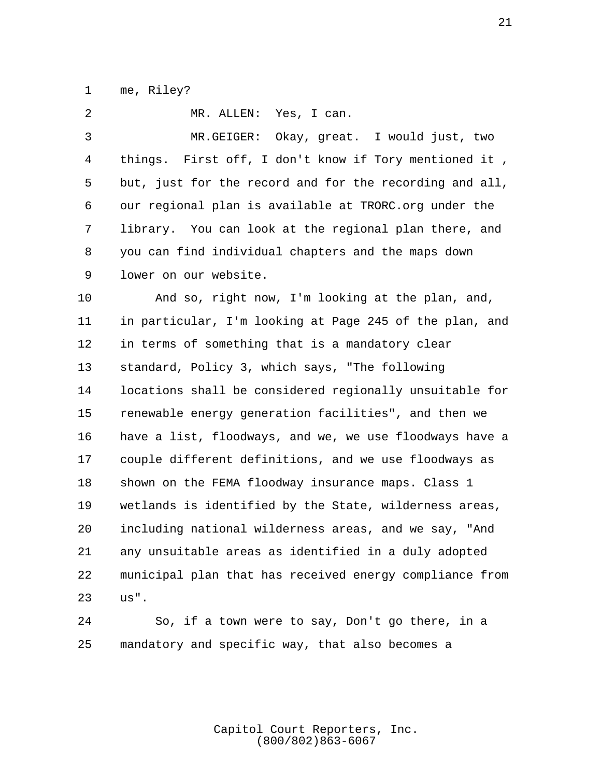1 me, Riley?

 2 MR. ALLEN: Yes, I can. 3 MR.GEIGER: Okay, great. I would just, two 4 things. First off, I don't know if Tory mentioned it , 5 but, just for the record and for the recording and all, 6 our regional plan is available at TRORC.org under the 7 library. You can look at the regional plan there, and 8 you can find individual chapters and the maps down 9 lower on our website. 10 And so, right now, I'm looking at the plan, and, 11 in particular, I'm looking at Page 245 of the plan, and 12 in terms of something that is a mandatory clear 13 standard, Policy 3, which says, "The following 14 locations shall be considered regionally unsuitable for 15 renewable energy generation facilities", and then we 16 have a list, floodways, and we, we use floodways have a 17 couple different definitions, and we use floodways as 18 shown on the FEMA floodway insurance maps. Class 1 19 wetlands is identified by the State, wilderness areas, 20 including national wilderness areas, and we say, "And 21 any unsuitable areas as identified in a duly adopted

22 municipal plan that has received energy compliance from 23 us".

24 So, if a town were to say, Don't go there, in a 25 mandatory and specific way, that also becomes a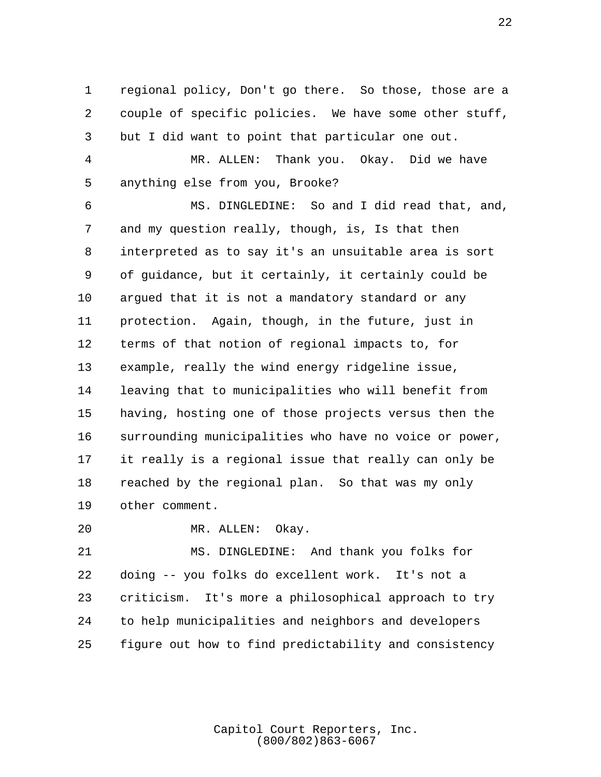1 regional policy, Don't go there. So those, those are a 2 couple of specific policies. We have some other stuff, 3 but I did want to point that particular one out.

 4 MR. ALLEN: Thank you. Okay. Did we have 5 anything else from you, Brooke?

 6 MS. DINGLEDINE: So and I did read that, and, 7 and my question really, though, is, Is that then 8 interpreted as to say it's an unsuitable area is sort 9 of guidance, but it certainly, it certainly could be 10 argued that it is not a mandatory standard or any 11 protection. Again, though, in the future, just in 12 terms of that notion of regional impacts to, for 13 example, really the wind energy ridgeline issue, 14 leaving that to municipalities who will benefit from 15 having, hosting one of those projects versus then the 16 surrounding municipalities who have no voice or power, 17 it really is a regional issue that really can only be 18 reached by the regional plan. So that was my only 19 other comment.

20 MR. ALLEN: Okay.

21 MS. DINGLEDINE: And thank you folks for 22 doing -- you folks do excellent work. It's not a 23 criticism. It's more a philosophical approach to try 24 to help municipalities and neighbors and developers 25 figure out how to find predictability and consistency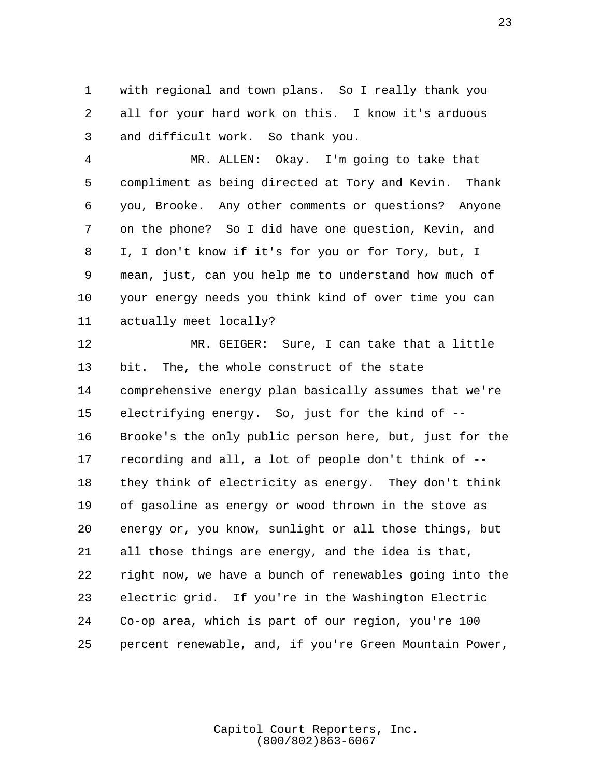1 with regional and town plans. So I really thank you 2 all for your hard work on this. I know it's arduous 3 and difficult work. So thank you.

 4 MR. ALLEN: Okay. I'm going to take that 5 compliment as being directed at Tory and Kevin. Thank 6 you, Brooke. Any other comments or questions? Anyone 7 on the phone? So I did have one question, Kevin, and 8 I, I don't know if it's for you or for Tory, but, I 9 mean, just, can you help me to understand how much of 10 your energy needs you think kind of over time you can 11 actually meet locally?

12 MR. GEIGER: Sure, I can take that a little 13 bit. The, the whole construct of the state 14 comprehensive energy plan basically assumes that we're 15 electrifying energy. So, just for the kind of -- 16 Brooke's the only public person here, but, just for the 17 recording and all, a lot of people don't think of -- 18 they think of electricity as energy. They don't think 19 of gasoline as energy or wood thrown in the stove as 20 energy or, you know, sunlight or all those things, but 21 all those things are energy, and the idea is that, 22 right now, we have a bunch of renewables going into the 23 electric grid. If you're in the Washington Electric 24 Co-op area, which is part of our region, you're 100 25 percent renewable, and, if you're Green Mountain Power,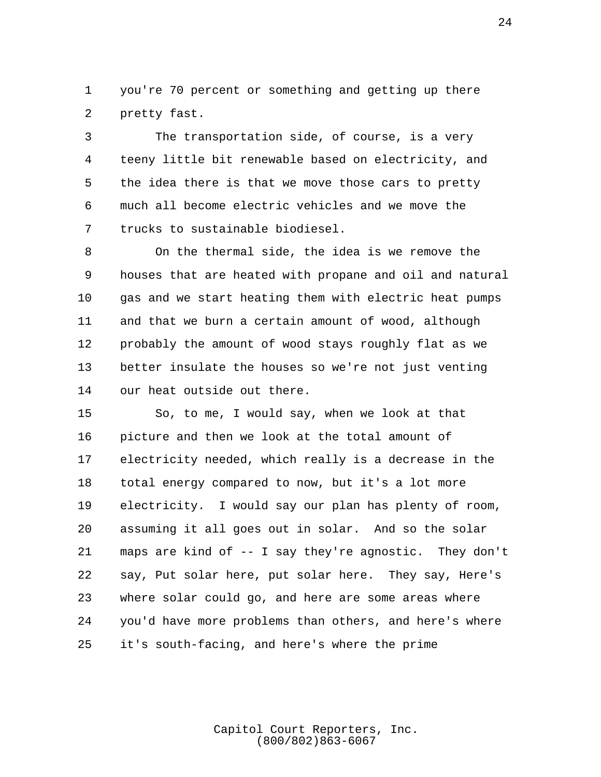1 you're 70 percent or something and getting up there 2 pretty fast.

 3 The transportation side, of course, is a very 4 teeny little bit renewable based on electricity, and 5 the idea there is that we move those cars to pretty 6 much all become electric vehicles and we move the 7 trucks to sustainable biodiesel.

 8 On the thermal side, the idea is we remove the 9 houses that are heated with propane and oil and natural 10 gas and we start heating them with electric heat pumps 11 and that we burn a certain amount of wood, although 12 probably the amount of wood stays roughly flat as we 13 better insulate the houses so we're not just venting 14 our heat outside out there.

15 So, to me, I would say, when we look at that 16 picture and then we look at the total amount of 17 electricity needed, which really is a decrease in the 18 total energy compared to now, but it's a lot more 19 electricity. I would say our plan has plenty of room, 20 assuming it all goes out in solar. And so the solar 21 maps are kind of -- I say they're agnostic. They don't 22 say, Put solar here, put solar here. They say, Here's 23 where solar could go, and here are some areas where 24 you'd have more problems than others, and here's where 25 it's south-facing, and here's where the prime

> Capitol Court Reporters, Inc. (800/802)863-6067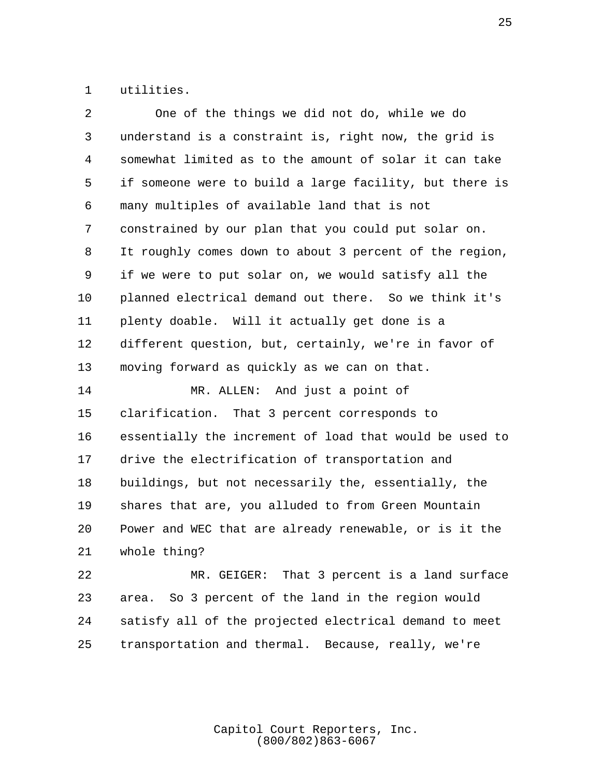1 utilities.

| 2  | One of the things we did not do, while we do            |
|----|---------------------------------------------------------|
| 3  | understand is a constraint is, right now, the grid is   |
| 4  | somewhat limited as to the amount of solar it can take  |
| 5  | if someone were to build a large facility, but there is |
| 6  | many multiples of available land that is not            |
| 7  | constrained by our plan that you could put solar on.    |
| 8  | It roughly comes down to about 3 percent of the region, |
| 9  | if we were to put solar on, we would satisfy all the    |
| 10 | planned electrical demand out there. So we think it's   |
| 11 | plenty doable. Will it actually get done is a           |
| 12 | different question, but, certainly, we're in favor of   |
| 13 | moving forward as quickly as we can on that.            |
| 14 | MR. ALLEN: And just a point of                          |
| 15 | clarification. That 3 percent corresponds to            |
| 16 | essentially the increment of load that would be used to |
| 17 | drive the electrification of transportation and         |
| 18 | buildings, but not necessarily the, essentially, the    |
| 19 | shares that are, you alluded to from Green Mountain     |
| 20 | Power and WEC that are already renewable, or is it the  |
| 21 | whole thing?                                            |
| 22 | MR. GEIGER: That 3 percent is a land surface            |
| 23 | area. So 3 percent of the land in the region would      |
| 24 |                                                         |
|    | satisfy all of the projected electrical demand to meet  |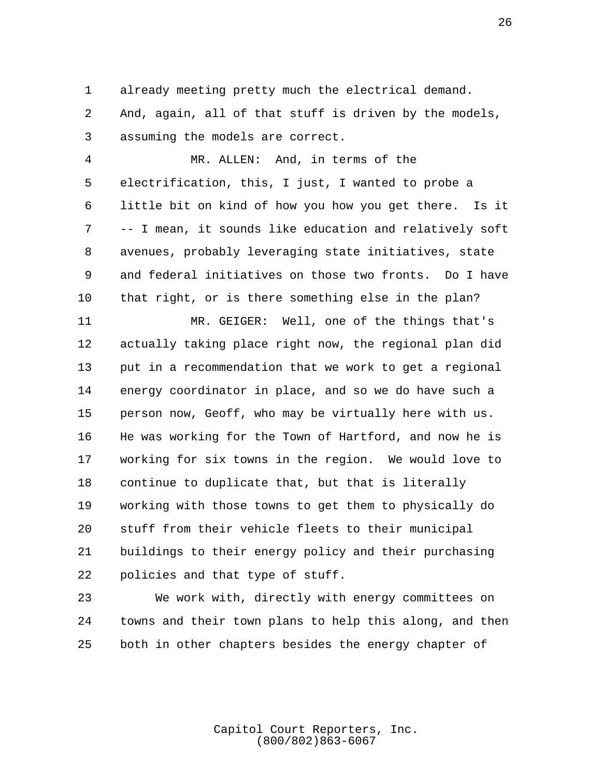1 already meeting pretty much the electrical demand.

 2 And, again, all of that stuff is driven by the models, 3 assuming the models are correct.

 4 MR. ALLEN: And, in terms of the 5 electrification, this, I just, I wanted to probe a 6 little bit on kind of how you how you get there. Is it 7 -- I mean, it sounds like education and relatively soft 8 avenues, probably leveraging state initiatives, state 9 and federal initiatives on those two fronts. Do I have 10 that right, or is there something else in the plan?

11 MR. GEIGER: Well, one of the things that's 12 actually taking place right now, the regional plan did 13 put in a recommendation that we work to get a regional 14 energy coordinator in place, and so we do have such a 15 person now, Geoff, who may be virtually here with us. 16 He was working for the Town of Hartford, and now he is 17 working for six towns in the region. We would love to 18 continue to duplicate that, but that is literally 19 working with those towns to get them to physically do 20 stuff from their vehicle fleets to their municipal 21 buildings to their energy policy and their purchasing 22 policies and that type of stuff.

23 We work with, directly with energy committees on 24 towns and their town plans to help this along, and then 25 both in other chapters besides the energy chapter of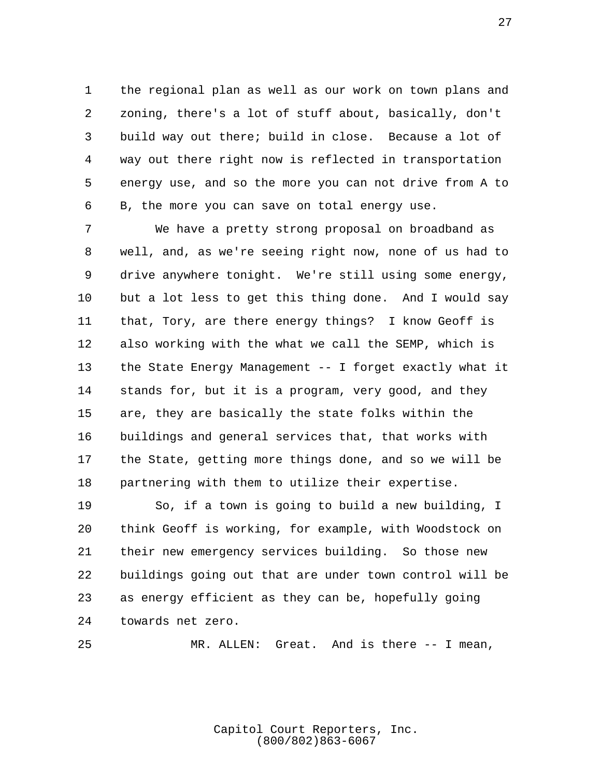1 the regional plan as well as our work on town plans and 2 zoning, there's a lot of stuff about, basically, don't 3 build way out there; build in close. Because a lot of 4 way out there right now is reflected in transportation 5 energy use, and so the more you can not drive from A to 6 B, the more you can save on total energy use.

 7 We have a pretty strong proposal on broadband as 8 well, and, as we're seeing right now, none of us had to 9 drive anywhere tonight. We're still using some energy, 10 but a lot less to get this thing done. And I would say 11 that, Tory, are there energy things? I know Geoff is 12 also working with the what we call the SEMP, which is 13 the State Energy Management -- I forget exactly what it 14 stands for, but it is a program, very good, and they 15 are, they are basically the state folks within the 16 buildings and general services that, that works with 17 the State, getting more things done, and so we will be 18 partnering with them to utilize their expertise.

19 So, if a town is going to build a new building, I 20 think Geoff is working, for example, with Woodstock on 21 their new emergency services building. So those new 22 buildings going out that are under town control will be 23 as energy efficient as they can be, hopefully going 24 towards net zero.

25 MR. ALLEN: Great. And is there -- I mean,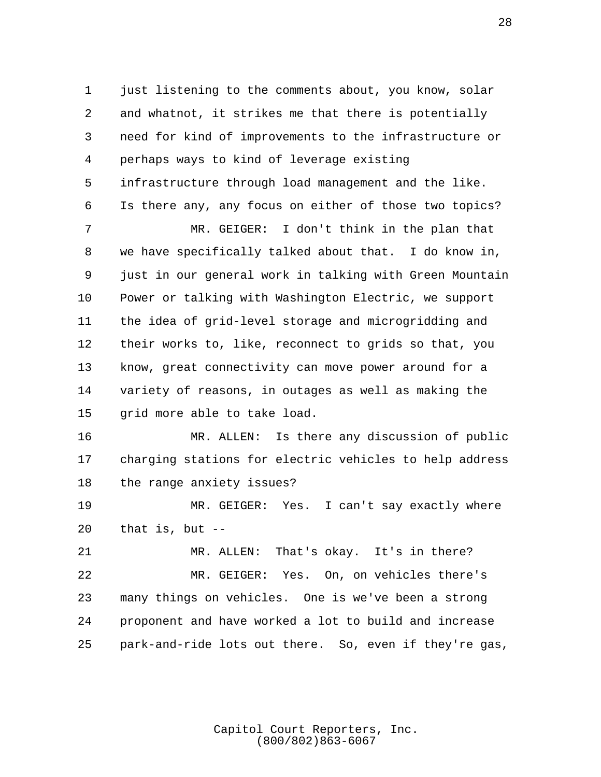1 just listening to the comments about, you know, solar 2 and whatnot, it strikes me that there is potentially 3 need for kind of improvements to the infrastructure or 4 perhaps ways to kind of leverage existing 5 infrastructure through load management and the like. 6 Is there any, any focus on either of those two topics? 7 MR. GEIGER: I don't think in the plan that 8 we have specifically talked about that. I do know in, 9 just in our general work in talking with Green Mountain

10 Power or talking with Washington Electric, we support 11 the idea of grid-level storage and microgridding and 12 their works to, like, reconnect to grids so that, you 13 know, great connectivity can move power around for a 14 variety of reasons, in outages as well as making the 15 grid more able to take load.

16 MR. ALLEN: Is there any discussion of public 17 charging stations for electric vehicles to help address 18 the range anxiety issues?

19 MR. GEIGER: Yes. I can't say exactly where 20 that is, but --

21 MR. ALLEN: That's okay. It's in there? 22 MR. GEIGER: Yes. On, on vehicles there's 23 many things on vehicles. One is we've been a strong 24 proponent and have worked a lot to build and increase 25 park-and-ride lots out there. So, even if they're gas,

> Capitol Court Reporters, Inc. (800/802)863-6067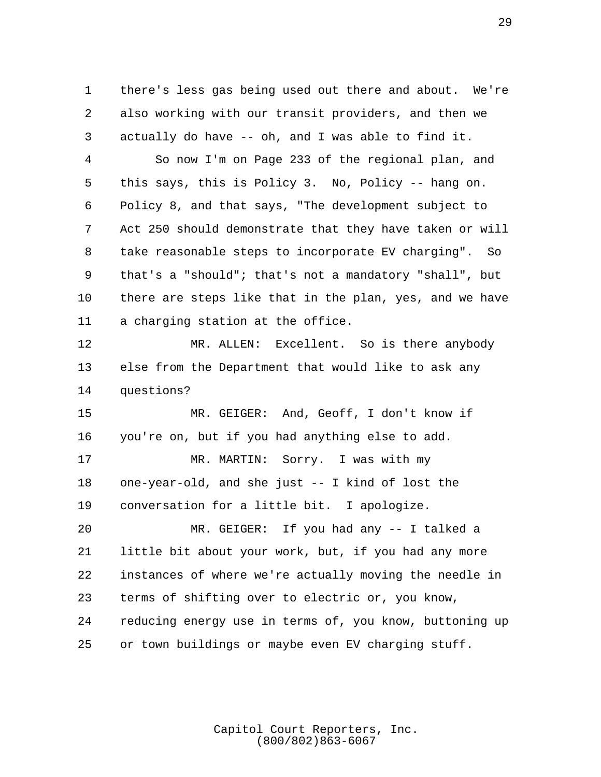1 there's less gas being used out there and about. We're 2 also working with our transit providers, and then we 3 actually do have -- oh, and I was able to find it.

 4 So now I'm on Page 233 of the regional plan, and 5 this says, this is Policy 3. No, Policy -- hang on. 6 Policy 8, and that says, "The development subject to 7 Act 250 should demonstrate that they have taken or will 8 take reasonable steps to incorporate EV charging". So 9 that's a "should"; that's not a mandatory "shall", but 10 there are steps like that in the plan, yes, and we have 11 a charging station at the office.

12 MR. ALLEN: Excellent. So is there anybody 13 else from the Department that would like to ask any 14 questions?

15 MR. GEIGER: And, Geoff, I don't know if 16 you're on, but if you had anything else to add.

17 MR. MARTIN: Sorry. I was with my 18 one-year-old, and she just -- I kind of lost the 19 conversation for a little bit. I apologize.

20 MR. GEIGER: If you had any -- I talked a 21 little bit about your work, but, if you had any more 22 instances of where we're actually moving the needle in 23 terms of shifting over to electric or, you know, 24 reducing energy use in terms of, you know, buttoning up 25 or town buildings or maybe even EV charging stuff.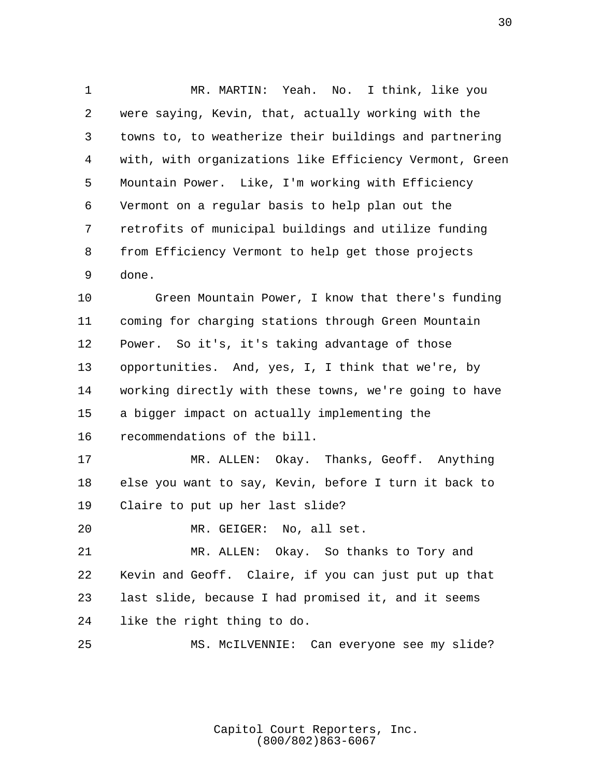1 MR. MARTIN: Yeah. No. I think, like you 2 were saying, Kevin, that, actually working with the 3 towns to, to weatherize their buildings and partnering 4 with, with organizations like Efficiency Vermont, Green 5 Mountain Power. Like, I'm working with Efficiency 6 Vermont on a regular basis to help plan out the 7 retrofits of municipal buildings and utilize funding 8 from Efficiency Vermont to help get those projects 9 done.

10 Green Mountain Power, I know that there's funding 11 coming for charging stations through Green Mountain 12 Power. So it's, it's taking advantage of those 13 opportunities. And, yes, I, I think that we're, by 14 working directly with these towns, we're going to have 15 a bigger impact on actually implementing the 16 recommendations of the bill.

17 MR. ALLEN: Okay. Thanks, Geoff. Anything 18 else you want to say, Kevin, before I turn it back to 19 Claire to put up her last slide?

20 MR. GEIGER: No, all set.

21 MR. ALLEN: Okay. So thanks to Tory and 22 Kevin and Geoff. Claire, if you can just put up that 23 last slide, because I had promised it, and it seems 24 like the right thing to do.

25 MS. McILVENNIE: Can everyone see my slide?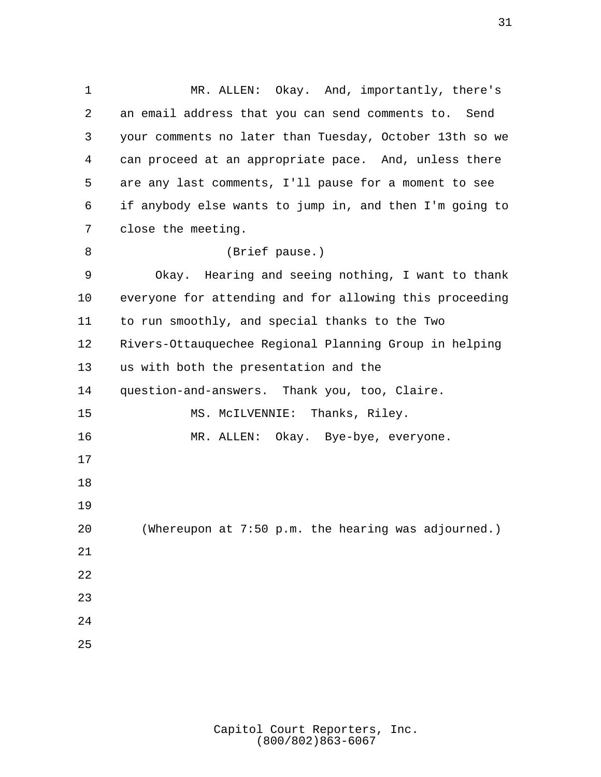1 MR. ALLEN: Okay. And, importantly, there's 2 an email address that you can send comments to. Send 3 your comments no later than Tuesday, October 13th so we 4 can proceed at an appropriate pace. And, unless there 5 are any last comments, I'll pause for a moment to see 6 if anybody else wants to jump in, and then I'm going to 7 close the meeting. 8 (Brief pause.) 9 Okay. Hearing and seeing nothing, I want to thank 10 everyone for attending and for allowing this proceeding 11 to run smoothly, and special thanks to the Two 12 Rivers-Ottauquechee Regional Planning Group in helping 13 us with both the presentation and the 14 question-and-answers. Thank you, too, Claire. 15 MS. McILVENNIE: Thanks, Riley. 16 MR. ALLEN: Okay. Bye-bye, everyone. 17 18 19 20 (Whereupon at 7:50 p.m. the hearing was adjourned.) 21 22 23 24 25